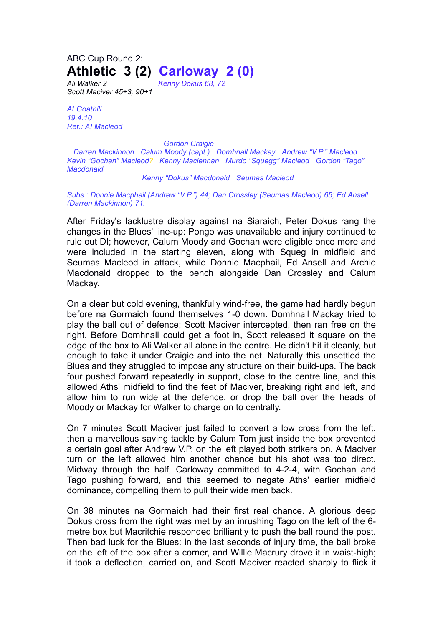## ABC Cup Round 2: **Athletic 3 (2) Carloway 2 (0)**

*Ali Walker 2 Kenny Dokus 68, 72 Scott Maciver 45+3, 90+1*

*At Goathill 19.4.10 Ref.: AI Macleod*

*Gordon Craigie*

*Darren Mackinnon Calum Moody (capt.) Domhnall Mackay Andrew "V.P." Macleod Kevin "Gochan" Macleod? Kenny Maclennan Murdo "Squegg" Macleod Gordon "Tago" Macdonald*

## *Kenny "Dokus" Macdonald Seumas Macleod*

*Subs.: Donnie Macphail (Andrew "V.P.") 44; Dan Crossley (Seumas Macleod) 65; Ed Ansell (Darren Mackinnon) 71.*

After Friday's lacklustre display against na Siaraich, Peter Dokus rang the changes in the Blues' line-up: Pongo was unavailable and injury continued to rule out DI; however, Calum Moody and Gochan were eligible once more and were included in the starting eleven, along with Squeg in midfield and Seumas Macleod in attack, while Donnie Macphail, Ed Ansell and Archie Macdonald dropped to the bench alongside Dan Crossley and Calum Mackay.

On a clear but cold evening, thankfully wind-free, the game had hardly begun before na Gormaich found themselves 1-0 down. Domhnall Mackay tried to play the ball out of defence; Scott Maciver intercepted, then ran free on the right. Before Domhnall could get a foot in, Scott released it square on the edge of the box to Ali Walker all alone in the centre. He didn't hit it cleanly, but enough to take it under Craigie and into the net. Naturally this unsettled the Blues and they struggled to impose any structure on their build-ups. The back four pushed forward repeatedly in support, close to the centre line, and this allowed Aths' midfield to find the feet of Maciver, breaking right and left, and allow him to run wide at the defence, or drop the ball over the heads of Moody or Mackay for Walker to charge on to centrally.

On 7 minutes Scott Maciver just failed to convert a low cross from the left, then a marvellous saving tackle by Calum Tom just inside the box prevented a certain goal after Andrew V.P. on the left played both strikers on. A Maciver turn on the left allowed him another chance but his shot was too direct. Midway through the half, Carloway committed to 4-2-4, with Gochan and Tago pushing forward, and this seemed to negate Aths' earlier midfield dominance, compelling them to pull their wide men back.

On 38 minutes na Gormaich had their first real chance. A glorious deep Dokus cross from the right was met by an inrushing Tago on the left of the 6 metre box but Macritchie responded brilliantly to push the ball round the post. Then bad luck for the Blues: in the last seconds of injury time, the ball broke on the left of the box after a corner, and Willie Macrury drove it in waist-high; it took a deflection, carried on, and Scott Maciver reacted sharply to flick it